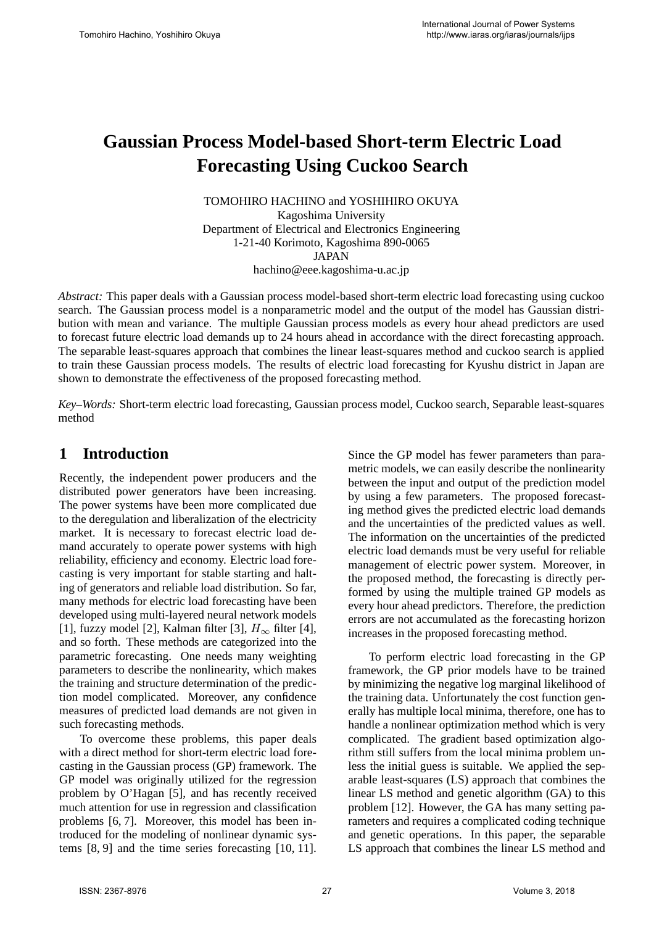# **Gaussian Process Model-based Short-term Electric Load Forecasting Using Cuckoo Search**

TOMOHIRO HACHINO and YOSHIHIRO OKUYA Kagoshima University Department of Electrical and Electronics Engineering 1-21-40 Korimoto, Kagoshima 890-0065 JAPAN hachino@eee.kagoshima-u.ac.jp

*Abstract:* This paper deals with a Gaussian process model-based short-term electric load forecasting using cuckoo search. The Gaussian process model is a nonparametric model and the output of the model has Gaussian distribution with mean and variance. The multiple Gaussian process models as every hour ahead predictors are used to forecast future electric load demands up to 24 hours ahead in accordance with the direct forecasting approach. The separable least-squares approach that combines the linear least-squares method and cuckoo search is applied to train these Gaussian process models. The results of electric load forecasting for Kyushu district in Japan are shown to demonstrate the effectiveness of the proposed forecasting method.

*Key–Words:* Short-term electric load forecasting, Gaussian process model, Cuckoo search, Separable least-squares method

### **1 Introduction**

Recently, the independent power producers and the distributed power generators have been increasing. The power systems have been more complicated due to the deregulation and liberalization of the electricity market. It is necessary to forecast electric load demand accurately to operate power systems with high reliability, efficiency and economy. Electric load forecasting is very important for stable starting and halting of generators and reliable load distribution. So far, many methods for electric load forecasting have been developed using multi-layered neural network models [1], fuzzy model [2], Kalman filter [3],  $H_{\infty}$  filter [4], and so forth. These methods are categorized into the parametric forecasting. One needs many weighting parameters to describe the nonlinearity, which makes the training and structure determination of the prediction model complicated. Moreover, any confidence measures of predicted load demands are not given in such forecasting methods.

To overcome these problems, this paper deals with a direct method for short-term electric load forecasting in the Gaussian process (GP) framework. The GP model was originally utilized for the regression problem by O'Hagan [5], and has recently received much attention for use in regression and classification problems [6, 7]. Moreover, this model has been introduced for the modeling of nonlinear dynamic systems [8, 9] and the time series forecasting [10, 11].

Since the GP model has fewer parameters than parametric models, we can easily describe the nonlinearity between the input and output of the prediction model by using a few parameters. The proposed forecasting method gives the predicted electric load demands and the uncertainties of the predicted values as well. The information on the uncertainties of the predicted electric load demands must be very useful for reliable management of electric power system. Moreover, in the proposed method, the forecasting is directly performed by using the multiple trained GP models as every hour ahead predictors. Therefore, the prediction errors are not accumulated as the forecasting horizon increases in the proposed forecasting method.

To perform electric load forecasting in the GP framework, the GP prior models have to be trained by minimizing the negative log marginal likelihood of the training data. Unfortunately the cost function generally has multiple local minima, therefore, one has to handle a nonlinear optimization method which is very complicated. The gradient based optimization algorithm still suffers from the local minima problem unless the initial guess is suitable. We applied the separable least-squares (LS) approach that combines the linear LS method and genetic algorithm (GA) to this problem [12]. However, the GA has many setting parameters and requires a complicated coding technique and genetic operations. In this paper, the separable LS approach that combines the linear LS method and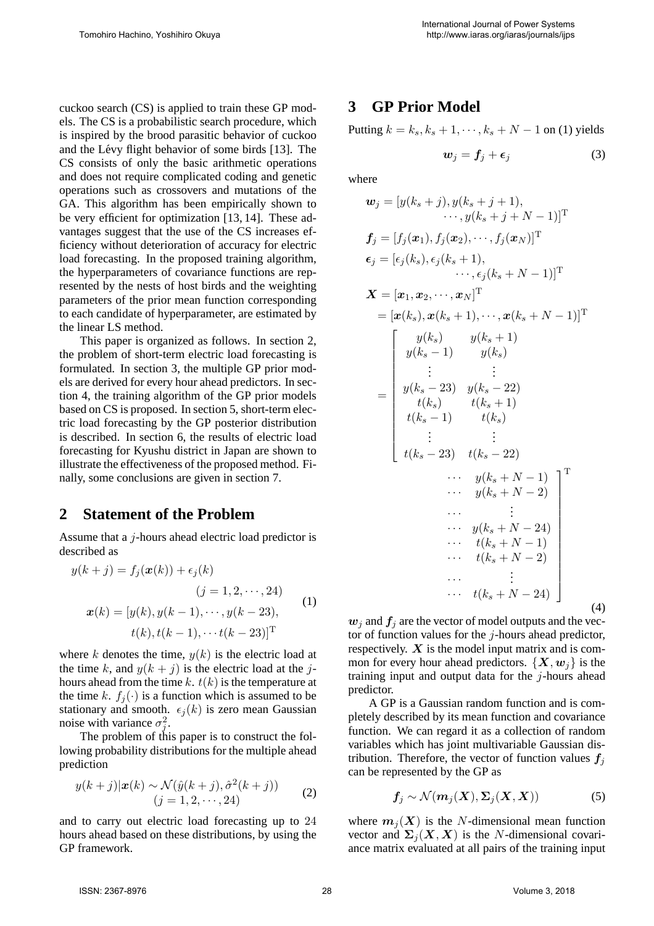cuckoo search (CS) is applied to train these GP models. The CS is a probabilistic search procedure, which is inspired by the brood parasitic behavior of cuckoo and the Lévy flight behavior of some birds [13]. The CS consists of only the basic arithmetic operations and does not require complicated coding and genetic operations such as crossovers and mutations of the GA. This algorithm has been empirically shown to be very efficient for optimization [13, 14]. These advantages suggest that the use of the CS increases efficiency without deterioration of accuracy for electric load forecasting. In the proposed training algorithm, the hyperparameters of covariance functions are represented by the nests of host birds and the weighting parameters of the prior mean function corresponding to each candidate of hyperparameter, are estimated by the linear LS method.

This paper is organized as follows. In section 2, the problem of short-term electric load forecasting is formulated. In section 3, the multiple GP prior models are derived for every hour ahead predictors. In section 4, the training algorithm of the GP prior models based on CS is proposed. In section 5, short-term electric load forecasting by the GP posterior distribution is described. In section 6, the results of electric load forecasting for Kyushu district in Japan are shown to illustrate the effectiveness of the proposed method. Finally, some conclusions are given in section 7.

### **2 Statement of the Problem**

Assume that a j-hours ahead electric load predictor is described as

$$
y(k + j) = f_j(\boldsymbol{x}(k)) + \epsilon_j(k)
$$
  
\n
$$
(j = 1, 2, \cdots, 24)
$$
  
\n
$$
\boldsymbol{x}(k) = [y(k), y(k - 1), \cdots, y(k - 23),
$$
  
\n
$$
t(k), t(k - 1), \cdots t(k - 23)]^T
$$
 (1)

where k denotes the time,  $y(k)$  is the electric load at the time k, and  $y(k + i)$  is the electric load at the jhours ahead from the time  $k$ .  $t(k)$  is the temperature at the time k.  $f_i(\cdot)$  is a function which is assumed to be stationary and smooth.  $\epsilon_j(k)$  is zero mean Gaussian<br>noise with variance  $\sigma^2$ noise with variance  $\sigma_j^2$ .

The problem of this paper is to construct the following probability distributions for the multiple ahead prediction

$$
y(k+j)|\mathbf{x}(k) \sim \mathcal{N}(\hat{y}(k+j), \hat{\sigma}^2(k+j))
$$
  
(j = 1, 2, \cdots, 24) (2)

and to carry out electric load forecasting up to 24 hours ahead based on these distributions, by using the GP framework.

### **3 GP Prior Model**

Putting  $k = k_s, k_s + 1, \dots, k_s + N - 1$  on (1) yields

$$
w_j = f_j + \epsilon_j \tag{3}
$$

where

$$
\mathbf{w}_{j} = [y(k_{s} + j), y(k_{s} + j + 1),\n\cdots, y(k_{s} + j + N - 1)]^{\mathrm{T}}
$$
\n
$$
\mathbf{f}_{j} = [f_{j}(\mathbf{x}_{1}), f_{j}(\mathbf{x}_{2}), \cdots, f_{j}(\mathbf{x}_{N})]^{\mathrm{T}}
$$
\n
$$
\mathbf{\epsilon}_{j} = [\epsilon_{j}(k_{s}), \epsilon_{j}(k_{s} + 1),\n\cdots, \epsilon_{j}(k_{s} + N - 1)]^{\mathrm{T}}
$$
\n
$$
\mathbf{X} = [\mathbf{x}_{1}, \mathbf{x}_{2}, \cdots, \mathbf{x}_{N}]^{\mathrm{T}}
$$
\n
$$
= [\mathbf{x}(k_{s}), \mathbf{x}(k_{s} + 1), \cdots, \mathbf{x}(k_{s} + N - 1)]^{\mathrm{T}}
$$
\n
$$
y(k_{s}) \qquad y(k_{s} + 1)
$$
\n
$$
y(k_{s} - 1) \qquad y(k_{s})
$$
\n
$$
\vdots \qquad \vdots \qquad \vdots
$$
\n
$$
y(k_{s} - 23) \qquad y(k_{s} - 22)
$$
\n
$$
t(k_{s}) \qquad t(k_{s} + 1)
$$
\n
$$
t(k_{s} - 1) \qquad t(k_{s})
$$
\n
$$
\vdots \qquad \vdots
$$
\n
$$
y(k_{s} + N - 1)
$$
\n
$$
\cdots \qquad y(k_{s} + N - 24)
$$
\n
$$
\cdots \qquad t(k_{s} + N - 24)
$$
\n
$$
\cdots \qquad t(k_{s} + N - 24)
$$
\n
$$
\cdots \qquad t(k_{s} + N - 24)
$$
\n
$$
\cdots \qquad t(k_{s} + N - 24)
$$
\n
$$
\cdots \qquad t(k_{s} + N - 24)
$$
\n
$$
\qquad (4)
$$

 $w_i$  and  $f_i$  are the vector of model outputs and the vector of function values for the  $j$ -hours ahead predictor, respectively.  $X$  is the model input matrix and is common for every hour ahead predictors.  $\{X, w_i\}$  is the training input and output data for the  $j$ -hours ahead predictor.

A GP is a Gaussian random function and is completely described by its mean function and covariance function. We can regard it as a collection of random variables which has joint multivariable Gaussian distribution. Therefore, the vector of function values  $f_i$ can be represented by the GP as

$$
f_j \sim \mathcal{N}(m_j(X), \Sigma_j(X, X))
$$
 (5)

where  $m_j(X)$  is the N-dimensional mean function vector and  $\Sigma_j$  (*X*, *X*) is the *N*-dimensional covariance matrix evaluated at all pairs of the training input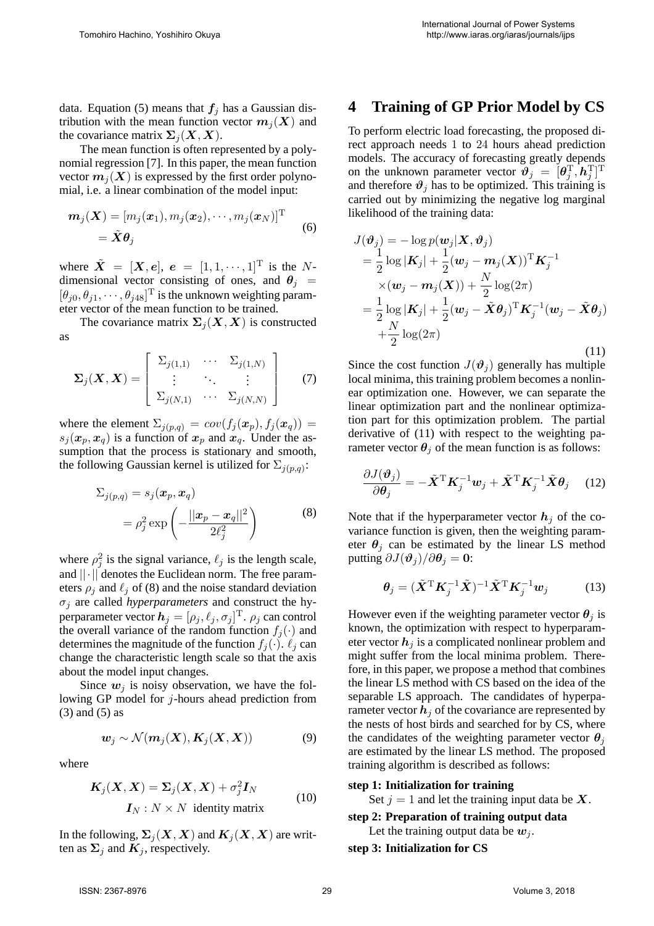data. Equation (5) means that  $f_j$  has a Gaussian distribution with the mean function vector  $m_i(X)$  and the covariance matrix  $\Sigma_i(X, X)$ .

The mean function is often represented by a polynomial regression [7]. In this paper, the mean function vector  $m_i(X)$  is expressed by the first order polynomial, i.e. a linear combination of the model input:

$$
\boldsymbol{m}_j(\boldsymbol{X}) = [m_j(\boldsymbol{x}_1), m_j(\boldsymbol{x}_2), \cdots, m_j(\boldsymbol{x}_N)]^\mathrm{T} \quad (6)
$$

$$
= \tilde{\boldsymbol{X}} \boldsymbol{\theta}_j
$$

where  $\tilde{\mathbf{X}} = [\mathbf{X}, \mathbf{e}], \mathbf{e} = [1, 1, \cdots, 1]^{\text{T}}$  is the Ndimensional vector consisting of ones, and  $\theta_j$  =  $[\theta_{j0}, \theta_{j1}, \cdots, \theta_{j48}]^{\text{T}}$  is the unknown weighting param-<br>eter vector of the mean function to be trained eter vector of the mean function to be trained.

The covariance matrix  $\Sigma_i(X, X)$  is constructed as

$$
\Sigma_j(\boldsymbol{X},\boldsymbol{X}) = \begin{bmatrix} \Sigma_{j(1,1)} & \cdots & \Sigma_{j(1,N)} \\ \vdots & \ddots & \vdots \\ \Sigma_{j(N,1)} & \cdots & \Sigma_{j(N,N)} \end{bmatrix}
$$
 (7)

where the element  $\Sigma_{j(p,q)} = cov(f_j(\boldsymbol{x}_p), f_j(\boldsymbol{x}_q)) =$ <br>s: $(\boldsymbol{x}_p, \boldsymbol{x}_p)$  is a function of  $\boldsymbol{x}_p$  and  $\boldsymbol{x}_p$ . Under the as $s_j(x_p, x_q)$  is a function of  $x_p$  and  $x_q$ . Under the as-<br>sumption that the process is stationary and smooth sumption that the process is stationary and smooth, the following Gaussian kernel is utilized for  $\Sigma_{i(p,q)}$ :

$$
\Sigma_{j(p,q)} = s_j(\boldsymbol{x}_p, \boldsymbol{x}_q)
$$
  
=  $\rho_j^2 \exp\left(-\frac{||\boldsymbol{x}_p - \boldsymbol{x}_q||^2}{2\ell_j^2}\right)$  (8)

where  $\rho_j^2$  is the signal variance,  $\ell_j$  is the length scale, and  $|| \cdot ||$  denotes the Euclidean norm. The free parameters  $\rho_i$  and  $\ell_j$  of (8) and the noise standard deviation  $\sigma_j$  are called *hyperparameters* and construct the hyperparameter vector  $h_j = [\rho_j, \ell_j, \sigma_j]^T$ .  $\rho_j$  can control<br>the overall variance of the random function  $f_i(.)$  and the overall variance of the random function  $f_i(\cdot)$  and determines the magnitude of the function  $f_i(\cdot)$ .  $\ell_i$  can change the characteristic length scale so that the axis about the model input changes.

Since  $w_i$  is noisy observation, we have the following GP model for j-hours ahead prediction from (3) and (5) as

$$
\mathbf{w}_j \sim \mathcal{N}(\mathbf{m}_j(\mathbf{X}), \mathbf{K}_j(\mathbf{X}, \mathbf{X}))
$$
(9)

where

$$
K_j(X, X) = \Sigma_j(X, X) + \sigma_j^2 I_N
$$
  
\n
$$
I_N: N \times N \text{ identity matrix}
$$
 (10)

In the following,  $\Sigma_j(X, X)$  and  $K_j(X, X)$  are written as  $\Sigma_j$  and  $K_j$ , respectively.

# **4 Training of GP Prior Model by CS**

To perform electric load forecasting, the proposed direct approach needs 1 to 24 hours ahead prediction models. The accuracy of forecasting greatly depends on the unknown parameter vector  $\mathbf{\hat{v}}_j = [\theta_j^{\mathrm{T}}, \mathbf{\hat{h}}_j^{\mathrm{T}}]^{\mathrm{T}}$ <br>and therefore  $\mathbf{\hat{v}}_j$  has to be optimized. This training is and therefore  $\vartheta_i$  has to be optimized. This training is carried out by minimizing the negative log marginal likelihood of the training data:

$$
J(\boldsymbol{\vartheta}_j) = -\log p(\boldsymbol{w}_j | \mathbf{X}, \boldsymbol{\vartheta}_j)
$$
  
\n
$$
= \frac{1}{2} \log |\mathbf{K}_j| + \frac{1}{2} (\boldsymbol{w}_j - \boldsymbol{m}_j (\mathbf{X}))^{\mathrm{T}} \mathbf{K}_j^{-1}
$$
  
\n
$$
\times (\boldsymbol{w}_j - \boldsymbol{m}_j (\mathbf{X})) + \frac{N}{2} \log(2\pi)
$$
  
\n
$$
= \frac{1}{2} \log |\mathbf{K}_j| + \frac{1}{2} (\boldsymbol{w}_j - \tilde{\mathbf{X}} \boldsymbol{\theta}_j)^{\mathrm{T}} \mathbf{K}_j^{-1} (\boldsymbol{w}_j - \tilde{\mathbf{X}} \boldsymbol{\theta}_j)
$$
  
\n
$$
+ \frac{N}{2} \log(2\pi)
$$
\n(11)

Since the cost function  $J(\mathbf{\vartheta}_i)$  generally has multiple local minima, this training problem becomes a nonlinear optimization one. However, we can separate the linear optimization part and the nonlinear optimization part for this optimization problem. The partial derivative of (11) with respect to the weighting parameter vector  $\theta_j$  of the mean function is as follows:

$$
\frac{\partial J(\boldsymbol{\vartheta}_j)}{\partial \boldsymbol{\theta}_j} = -\tilde{\mathbf{X}}^{\mathrm{T}} \mathbf{K}_j^{-1} \boldsymbol{w}_j + \tilde{\mathbf{X}}^{\mathrm{T}} \mathbf{K}_j^{-1} \tilde{\mathbf{X}} \boldsymbol{\theta}_j \quad (12)
$$

Note that if the hyperparameter vector  $h_i$  of the covariance function is given, then the weighting parameter  $\theta_j$  can be estimated by the linear LS method putting  $\partial J(\boldsymbol{\vartheta}_i)/\partial \boldsymbol{\theta}_i = \mathbf{0}$ :

$$
\boldsymbol{\theta}_j = (\tilde{\boldsymbol{X}}^{\mathrm{T}} \boldsymbol{K}_j^{-1} \tilde{\boldsymbol{X}})^{-1} \tilde{\boldsymbol{X}}^{\mathrm{T}} \boldsymbol{K}_j^{-1} \boldsymbol{w}_j \qquad (13)
$$

However even if the weighting parameter vector  $\theta_i$  is known, the optimization with respect to hyperparameter vector  $h_j$  is a complicated nonlinear problem and might suffer from the local minima problem. Therefore, in this paper, we propose a method that combines the linear LS method with CS based on the idea of the separable LS approach. The candidates of hyperparameter vector  $h_i$  of the covariance are represented by the nests of host birds and searched for by CS, where the candidates of the weighting parameter vector  $\theta_i$ are estimated by the linear LS method. The proposed training algorithm is described as follows:

#### **step 1: Initialization for training**

Set  $j = 1$  and let the training input data be  $X$ .

#### **step 2: Preparation of training output data**

Let the training output data be  $w_i$ .

**step 3: Initialization for CS**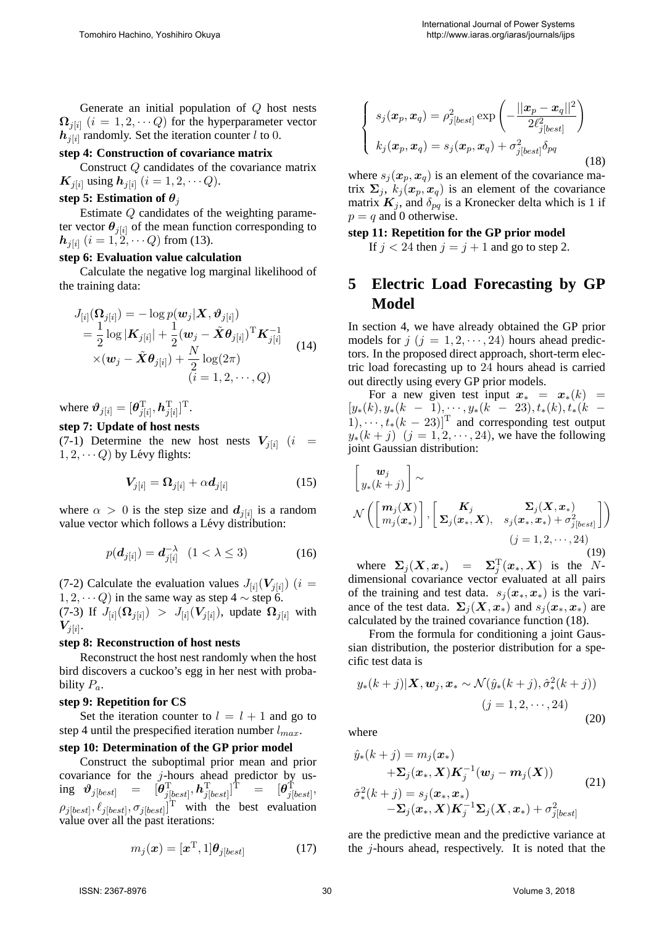Generate an initial population of Q host nests  $\Omega_{i[i]}$  ( $i = 1, 2, \dots Q$ ) for the hyperparameter vector  $h_{j[i]}$  randomly. Set the iteration counter l to 0.

#### **step 4: Construction of covariance matrix**

Construct Q candidates of the covariance matrix *K*<sub>j[i]</sub> using  $h_{j[i]}$  ( $i = 1, 2, \dots Q$ ).

#### step 5: Estimation of  $\theta_i$

Estimate Q candidates of the weighting parameter vector  $\theta_{i[i]}$  of the mean function corresponding to  $h_{i[i]}$  ( $i = 1, 2, \dots Q$ ) from (13).

#### **step 6: Evaluation value calculation**

Calculate the negative log marginal likelihood of the training data:

$$
J_{[i]}(\mathbf{\Omega}_{j[i]}) = -\log p(\mathbf{w}_j|\mathbf{X}, \boldsymbol{\vartheta}_{j[i]})
$$
  
\n
$$
= \frac{1}{2}\log|\mathbf{K}_{j[i]}| + \frac{1}{2}(\mathbf{w}_j - \tilde{\mathbf{X}}\boldsymbol{\theta}_{j[i]})^{\mathrm{T}}\mathbf{K}_{j[i]}^{-1}
$$
  
\n
$$
\times (\mathbf{w}_j - \tilde{\mathbf{X}}\boldsymbol{\theta}_{j[i]}) + \frac{N}{2}\log(2\pi)
$$
  
\n
$$
(i = 1, 2, \cdots, Q)
$$

where  $\boldsymbol{\vartheta}_{j[i]} = [\boldsymbol{\theta}_{j[i]}^{\mathrm{T}}, \boldsymbol{h}_{j[i]}^{\mathrm{T}}]$ T.

#### **step 7: Update of host nests**

(7-1) Determine the new host nests  $V_{j[i]}$  (i =  $1, 2, \cdots Q$ ) by Lévy flights:

$$
V_{j[i]} = \Omega_{j[i]} + \alpha d_{j[i]}
$$
 (15)

where  $\alpha > 0$  is the step size and  $d_{i[i]}$  is a random value vector which follows a Lévy distribution:

$$
p(\boldsymbol{d}_{j[i]}) = \boldsymbol{d}_{j[i]}^{-\lambda} \quad (1 < \lambda \le 3) \tag{16}
$$

(7-2) Calculate the evaluation values  $J_{[i]}(\boldsymbol{V}_{i[i]})$  (*i* =  $1, 2, \cdots Q$ ) in the same way as step 4  $\sim$  step 6.

(7-3) If  $J_{[i]}(\Omega_{j[i]}) > J_{[i]}(V_{j[i]})$ , update  $\Omega_{j[i]}$  with  $V_{j[i]}$ .

#### **step 8: Reconstruction of host nests**

Reconstruct the host nest randomly when the host bird discovers a cuckoo's egg in her nest with probability  $P_a$ .

#### **step 9: Repetition for CS**

Set the iteration counter to  $l = l + 1$  and go to step 4 until the prespecified iteration number  $l_{max}$ .

#### **step 10: Determination of the GP prior model**

Construct the suboptimal prior mean and prior covariance for the  $j$ -hours ahead predictor by us- $\inf_{\theta} \theta_{j[\text{best}]} = [\theta_{j[\text{best}]}^{\text{T}}, \textbf{h}_{j[\text{best}]}^{\text{T}}]$  $\begin{array}{rcl} \hat{\rm T} & = & [\bm{\theta}_{j[\mathit{best}]}^{\hat{\rm T}}], \ \frac{1}{\sqrt{2}} & \hat{\rm T} \end{array}$  $\rho_{j[best]}, \ell_{j[best]}, \sigma_{j[best]}]^{\text{T}}$  with the best evaluation value over all the past iterations: value over all the past iterations:

$$
m_j(\boldsymbol{x}) = [\boldsymbol{x}^{\mathrm{T}}, 1] \boldsymbol{\theta}_{j[best]} \tag{17}
$$

$$
\begin{cases}\ns_j(\boldsymbol{x}_p, \boldsymbol{x}_q) = \rho_{j[best]}^2 \exp\left(-\frac{||\boldsymbol{x}_p - \boldsymbol{x}_q||^2}{2\ell_{j[best]}^2}\right) \\
k_j(\boldsymbol{x}_p, \boldsymbol{x}_q) = s_j(\boldsymbol{x}_p, \boldsymbol{x}_q) + \sigma_{j[best]}^2 \delta_{pq}\n\end{cases}
$$
\n(18)

where  $s_i(\mathbf{x}_p, \mathbf{x}_q)$  is an element of the covariance matrix  $\Sigma_i$ ,  $k_i$ ( $x_p$ ,  $x_q$ ) is an element of the covariance matrix  $K_j$ , and  $\delta_{pq}$  is a Kronecker delta which is 1 if  $p = q$  and 0 otherwise.

#### **step 11: Repetition for the GP prior model**

If  $j < 24$  then  $j = j + 1$  and go to step 2.

### **5 Electric Load Forecasting by GP Model**

In section 4, we have already obtained the GP prior models for  $j$  ( $j = 1, 2, \dots, 24$ ) hours ahead predictors. In the proposed direct approach, short-term electric load forecasting up to 24 hours ahead is carried out directly using every GP prior models.

For a new given test input  $x_* = x_*(k) =$  $[y_*(k), y_*(k - 1), \cdots, y_*(k - 23), t_*(k), t_*(k - 1)]$  $(1), \cdots, t_*(k-23)]^T$  and corresponding test output  $y_*(k + j)$   $(j = 1, 2, \dots, 24)$ , we have the following joint Gaussian distribution:

$$
\begin{bmatrix}\nw_j \\
y_*(k+j)\n\end{bmatrix}\n\sim\n\mathcal{N}\left(\begin{bmatrix}\nm_j(\mathbf{X}) \\
m_j(\mathbf{x}_*)\n\end{bmatrix}, \begin{bmatrix}\n\mathbf{K}_j & \Sigma_j(\mathbf{X}, \mathbf{x}_*) \\
\Sigma_j(\mathbf{x}_*, \mathbf{X}), & s_j(\mathbf{x}_*, \mathbf{x}_*) + \sigma_{j[best]}^2\n\end{bmatrix}\right)\n\quad (j = 1, 2, \cdots, 24)
$$
\n(19)

where  $\Sigma_j(X, x_*) = \Sigma_j^T(x_*, X)$  is the N-<br>mensional covariance vector evaluated at all pairs dimensional covariance vector evaluated at all pairs of the training and test data.  $s_i(\mathbf{x}_*, \mathbf{x}_*)$  is the variance of the test data.  $\Sigma_i(X, x_*)$  and  $s_i(x_*, x_*)$  are calculated by the trained covariance function (18).

From the formula for conditioning a joint Gaussian distribution, the posterior distribution for a specific test data is

$$
y_*(k+j)|\mathbf{X}, \mathbf{w}_j, \mathbf{x}_* \sim \mathcal{N}(\hat{y}_*(k+j), \hat{\sigma}^2_*(k+j))
$$
  
( $j = 1, 2, \cdots, 24$ ) (20)

where

$$
\hat{y}_{*}(k+j) = m_{j}(\boldsymbol{x}_{*}) \n+ \Sigma_{j}(\boldsymbol{x}_{*}, \boldsymbol{X}) \boldsymbol{K}_{j}^{-1}(\boldsymbol{w}_{j} - \boldsymbol{m}_{j}(\boldsymbol{X})) \n\hat{\sigma}_{*}^{2}(k+j) = s_{j}(\boldsymbol{x}_{*}, \boldsymbol{x}_{*}) \n- \Sigma_{j}(\boldsymbol{x}_{*}, \boldsymbol{X}) \boldsymbol{K}_{j}^{-1} \Sigma_{j}(\boldsymbol{X}, \boldsymbol{x}_{*}) + \sigma_{j[best]}^{2}
$$
\n(21)

are the predictive mean and the predictive variance at the  $j$ -hours ahead, respectively. It is noted that the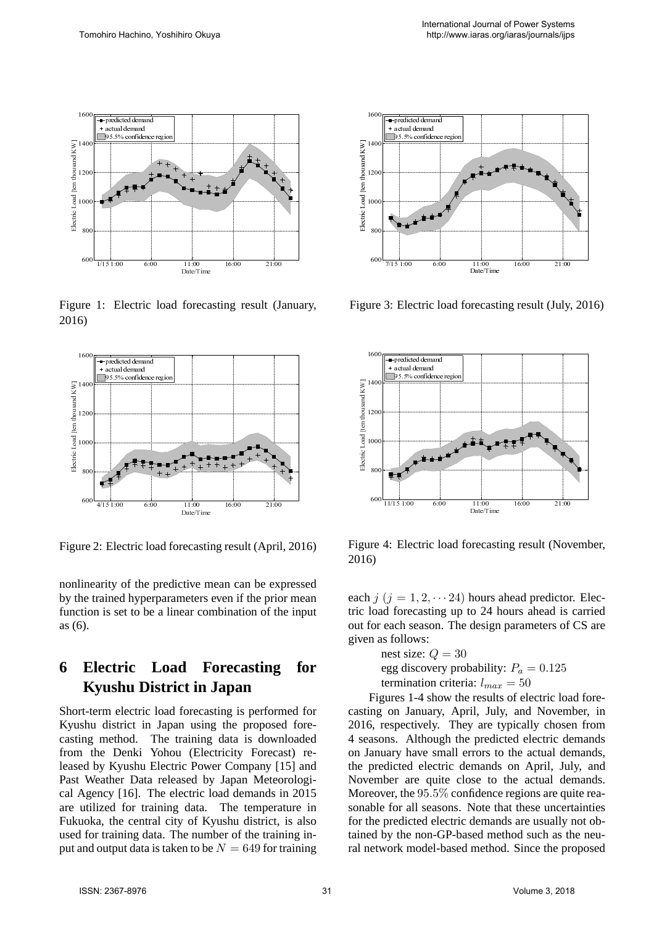

Figure 1: Electric load forecasting result (January, 2016)



Figure 2: Electric load forecasting result (April, 2016)

nonlinearity of the predictive mean can be expressed by the trained hyperparameters even if the prior mean function is set to be a linear combination of the input as (6).

## **6 Electric Load Forecasting for Kyushu District in Japan**

4/15 1:00 6:00 11:00<br>
Theorem is the predictive mean can be experimed its of the predictive mean can be experimed trained hyperparameters even if the pricine it is set to be a linear combination of the pricin is set to be complexed and the set of the set of the set of the set of the set of the set of the set of the set of the set of the set of the set of the set of the set of the set of the set of the set of the set of the set of the set of soo compare international compare international compare international compare in the second of the compare of the compare of the compare of the compare of the compare of the compare of the compare of the compare of the com 1000 800 600 11e line 11e line 11e line 11e line 11e line 11e line 11e line 11e line 11e line 11e line 11e line 11e line 11e line 11e line 11e line 11e line 11e line 11e line 11e line 11e line 11e line 11e line 11e line 11 1200 1000 800 600 IFC line interviews on the line of the strip of the strip of the strip of the strip of the strip of the strip of the strip of the strip of the strip of the strip of the strip of the strip of the strip of Francian<br>
ecasti<br>
tive m<br>
eters<br>
ear contribution<br>
data.<br>
Contribution<br>
data.<br>
The num<br>
to be num<br>
to be num<br>
to be num<br>
to be num<br>
to be num<br>
to be num<br>
to be num<br>
to be num<br>
to be num<br>
to be num<br>
to be num<br>
to be num<br>
to First Leader Transfer Confidence Relation Contract Transfer Contract School Contract School Contract School Contract in Jap and the Contract Contract Contract Contract Contract Contract Contract Contract Contract Contract Short-term electric load forecasting is performed for Kyushu district in Japan using the proposed forecasting method. The training data is downloaded from the Denki Yohou (Electricity Forecast) released by Kyushu Electric Power Company [15] and Past Weather Data released by Japan Meteorological Agency [16]. The electric load demands in 2015 are utilized for training data. The temperature in Fukuoka, the central city of Kyushu district, is also used for training data. The number of the training input and output data is taken to be  $N = 649$  for training



Figure 3: Electric load forecasting result (July, 2016)



Figure 4: Electric load forecasting result (November, 2016)

each  $j$  ( $j = 1, 2, \dots, 24$ ) hours ahead predictor. Electric load forecasting up to 24 hours ahead is carried out for each season. The design parameters of CS are given as follows:

> nest size:  $Q = 30$ egg discovery probability:  $P_a = 0.125$ termination criteria:  $l_{max} = 50$

<sup>11/15 1:00</sup><sup>11:00</sup><sup>1:00</sup><sup>11:00</sup><sup>11:00</sup><sup>11:00</sup><sup>11:00</sup><sup>11:00</sup><sup>11:00</sup><br>
1<sup>11/15 1:00 <sup>11:00</sup><sup>11:00</sup><br>
11:00<br>
11/15 1:00 6:00 11:00<br>
11/16 1:00<br>
11/16 1:00<br>
11/16 1:00<br>
11/16 1:00<br>
11/16 1:00<br>
11/16 1:00<br>
11/16 1:00<br>
11/16 1:0</sup> 800  $\begin{array}{c} 800 \ \hline 600 \ \hline \end{array}$   $\begin{array}{c} 100 \ \hline \end{array}$   $\begin{array}{c} 100 \ \hline \end{array}$   $\begin{array}{c} 100 \ \hline \end{array}$   $\begin{array}{c} 100 \ \hline \end{array}$   $\begin{array}{c} 100 \ \hline \end{array}$   $\begin{array}{c} 100 \ \hline \end{array}$   $\begin{array}{c} 100 \ \hline \end{array}$   $\begin{array}{c} 100 \ \hline \end{array}$   $\begin{array}{$ 1000 soo coo ure bij jigg bij daar een bij daar een van die van die van die van die van die van die van die van die van die van die van die van die van die van die van die van die van die van die van die van die van die va  $1200$ <br> $1000$   $800$ <br> $600$   $100$ <br> $100$ <br> $100$ <br> $100$ <br> $100$ <br> $100$ <br> $100$ <br> $100$ <br> $100$ <br> $100$ <br> $100$ <br> $100$ <br> $100$ <br> $100$ <br> $100$ <br> $100$ <br> $100$ <br> $100$ <br> $100$ <br> $100$ <br> $100$ <br> $100$ <br> $100$ <br> $100$ <br> $100$ <br> $100$ <br> $100$ <br> $100$ <br> $100$ <br> $100$ <br> $100$ <br> $100$ <br> $10$ Frecast<br>
hours :  $\frac{1}{2}$  design<br>
ability<br>
a:  $l_{max}$ <br>
result<br>
il, Jul<br>  $l$  are t predictions to<br>
fidence the<br>
section of the demand<br>
methology<br>
methology predicted at the set of the set of the set of the set of the set of the set of the set of the set of the set of the set of the set of the set of the set of the set of the set of the set of the non-C set of the non-C set of  $\frac{95.5\% \text{ confidence}}{35.5\% \text{ confidence}}$ <br>  $= 1, 2, \frac{1}{2}$ <br>  $= 1, 2, \frac{1}{2}$ <br>  $= 1, 2, \frac{1}{2}$ <br>  $= 1, 4, 5$ <br>  $= 14$  shows:<br>  $= 14$  shows:<br>  $= 14$  shows:<br>  $= 14$  shows:<br>  $= 14$  shows:<br>  $= 14$  shows:<br>  $= 14$  shows:<br>  $= 14$  shows:<br>  $= 1$ Electric load<br>
= 1, 2, ... 24<br>
forecasting up<br>
ch season. The older season. The older season. The older season of the season of the season of the season of the season of the season of the season of the non-GP-b is the non Figures 1-4 show the results of electric load forecasting on January, April, July, and November, in 2016, respectively. They are typically chosen from 4 seasons. Although the predicted electric demands on January have small errors to the actual demands, the predicted electric demands on April, July, and November are quite close to the actual demands. Moreover, the 95.5% confidence regions are quite reasonable for all seasons. Note that these uncertainties for the predicted electric demands are usually not obtained by the non-GP-based method such as the neural network model-based method. Since the proposed